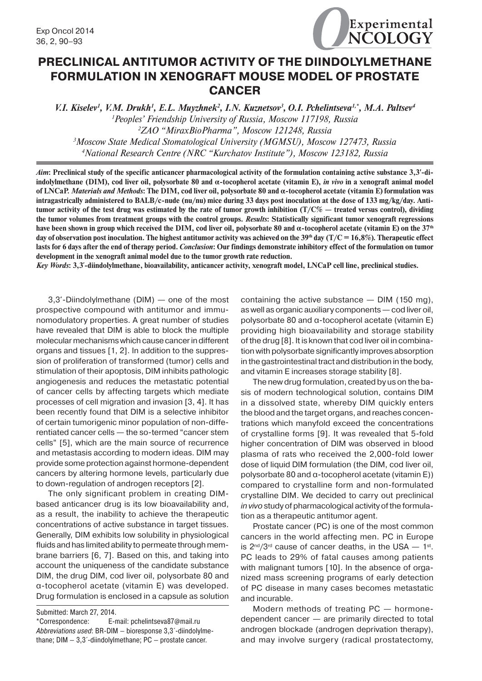

# **PRECLINICAL ANTITUMOR ACTIVITY OF THE DIINDOLYLMETHANE FORMULATION IN XENOGRAFT MOUSE MODEL OF PROSTATE CANCER**

*V.I. Kiselev<sup>1</sup>, V.M. Drukh<sup>1</sup>, E.L. Muyzhnek<sup>2</sup>, I.N. Kuznetsov<sup>3</sup>, O.I. Pchelintseva<sup>1,\*</sup>, M.A. Paltsev<sup>4</sup> Peoples' Friendship University of Russia, Moscow 117198, Russia ZAO "MiraxBioPharma", Moscow 121248, Russia Moscow State Medical Stomatological University (MGMSU), Moscow 127473, Russia National Research Centre (NRC "Kurchatov Institute"), Moscow 123182, Russia*

*Aim***: Preclinical study of the specific anticancer pharmacological activity of the formulation containing active substance 3,3--diindolylmethane (DIM), cod liver oil, polysorbate 80 and α-tocopherol acetate (vitamin E),** *in vivo* **in a xenograft animal model of LNCaP.** *Materials and Methods***: The DIM, cod liver oil, polysorbate 80 and α-tocopherol acetate (vitamin E) formulation was intragastrically administered to BALB/c-nude (nu/nu) mice during 33 days post inoculation at the dose of 133 mg/kg/day. Antitumor activity of the test drug was estimated by the rate of tumor growth inhibition (T/C% — treated versus control), dividing the tumor volumes from treatment groups with the control groups.** *Results***: Statistically significant tumor xenograft regressions have been shown in group which received the DIM, cod liver oil, polysorbate 80 and α-tocopherol acetate (vitamin E) on the 37th** day of observation post inoculation. The highest antitumor activity was achieved on the  $39<sup>th</sup>$  day ( $T/C = 16,8%$ ). Therapeutic effect **lasts for 6 days after the end of therapy period.** *Conclusion***: Our findings demonstrate inhibitory effect of the formulation on tumor development in the xenograft animal model due to the tumor growth rate reduction.**

*Key Words***: 3,3´-diindolylmethane, bioavailability, anticancer activity, xenograft model, LNCaP cell line, preclinical studies.**

3,3--Diindolylmethane (DIM) — one of the most prospective compound with antitumor and immunomodulatory properties. A great number of studies have revealed that DIM is able to block the multiple molecular mechanisms which cause cancer in different organs and tissues [1, 2]. In addition to the suppression of proliferation of transformed (tumor) cells and stimulation of their apoptosis, DIM inhibits pathologic angiogenesis and reduces the metastatic potential of cancer cells by affecting targets which mediate processes of cell migration and invasion [3, 4]. It has been recently found that DIM is a selective inhibitor of certain tumorigenic minor population of non-differentiated cancer cells — the so-termed "cancer stem cells" [5], which are the main source of recurrence and metastasis according to modern ideas. DIM may provide some protection against hormone-dependent cancers by altering hormone levels, particularly due to down-regulation of androgen receptors [2].

The only significant problem in creating DIMbased anticancer drug is its low bioavailability and, as a result, the inability to achieve the therapeutic concentrations of active substance in target tissues. Generally, DIM exhibits low solubility in physiological fluids and has limited ability to permeate through membrane barriers [6, 7]. Based on this, and taking into account the uniqueness of the candidate substance DIM, the drug DIM, cod liver oil, polysorbate 80 and α-tocopherol acetate (vitamin E) was developed. Drug formulation is enclosed in a capsule as solution

Submitted: March 27, 2014.

containing the active substance — DIM (150 mg), as well as organic auxiliary components — cod liver oil, polysorbate 80 and α-tocopherol acetate (vitamin E) providing high bioavailability and storage stability of the drug [8]. It is known that cod liver oil in combination with polysorbate significantly improves absorption in the gastrointestinal tract and distribution in the body, and vitamin E increases storage stability [8].

The new drug formulation, created by us on the basis of modern technological solution, contains DIM in a dissolved state, whereby DIM quickly enters the blood and the target organs, and reaches concentrations which manyfold exceed the concentrations of crystalline forms [9]. It was revealed that 5-fold higher concentration of DIM was observed in blood plasma of rats who received the 2,000-fold lower dose of liquid DIM formulation (the DIM, cod liver oil, polysorbate 80 and α-tocopherol acetate (vitamin E)) compared to crystalline form and non-formulated crystalline DIM. We decided to carry out preclinical *in vivo* study of pharmacological activity of the formulation as a therapeutic antitumor agent.

Prostate cancer (PC) is one of the most common cancers in the world affecting men. PC in Europe is  $2^{nd}/3^{rd}$  cause of cancer deaths, in the USA  $-1^{st}$ . PC leads to 29% of fatal causes among patients with malignant tumors [10]. In the absence of organized mass screening programs of early detection of PC disease in many cases becomes metastatic and incurable.

Modern methods of treating PC — hormonedependent cancer — are primarily directed to total androgen blockade (androgen deprivation therapy), and may involve surgery (radical prostatectomy,

<sup>\*</sup>Correspondence: E-mail: pchelintseva87@mail.ru Abbreviations used: BR-DIM — bioresponse 3,3´-diindolylmethane;  $DIM - 3,3'-d$ iindolylmethane;  $PC -$  prostate cancer.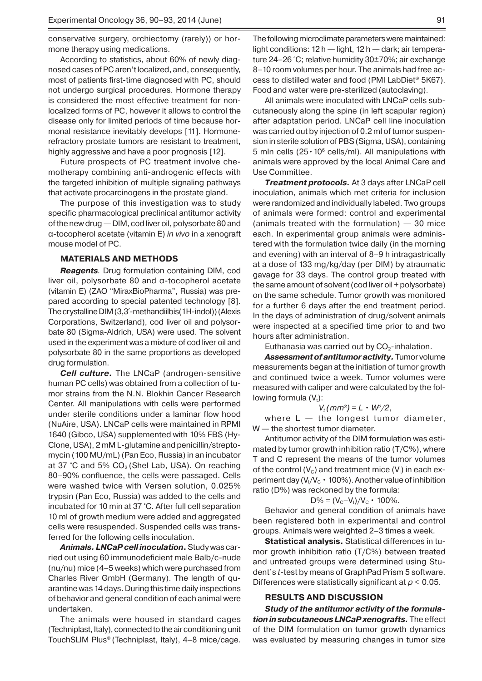conservative surgery, orchiectomy (rarely)) or hormone therapy using medications.

According to statistics, about 60% of newly diagnosed cases of PC aren't localized, and, consequently, most of patients first-time diagnosed with PC, should not undergo surgical procedures. Hormone therapy is considered the most effective treatment for nonlocalized forms of PC, however it allows to control the disease only for limited periods of time because hormonal resistance inevitably develops [11]. Hormonerefractory prostate tumors are resistant to treatment, highly aggressive and have a poor prognosis [12].

Future prospects of PC treatment involve chemotherapy combining anti-androgenic effects with the targeted inhibition of multiple signaling pathways that activate procarcinogens in the prostate gland.

The purpose of this investigation was to study specific pharmacological preclinical antitumor activity of the new drug — DIM, cod liver oil, polysorbate 80 and α-tocopherol acetate (vitamin E) *in vivo* in a xenograft mouse model of PC.

#### **MATERIALS AND METHODS**

*Reagents.* Drug formulation containing DIM, cod liver oil, polysorbate 80 and α-tocopherol acetate (vitamin E) (ZAO "MiraxBioPharma", Russia) was prepared according to special patented technology [8]. The crystalline DIM (3,3΄-methandiilbis(1H-indol)) (Alexis Corporations, Switzerland), cod liver oil and polysorbate 80 (Sigma-Aldrich, USA) were used. The solvent used in the experiment was a mixture of cod liver oil and polysorbate 80 in the same proportions as developed drug formulation.

*Cell culture.* The LNCaP (androgen-sensitive human PC cells) was obtained from a collection of tumor strains from the N.N. Blokhin Cancer Research Center. All manipulations with cells were performed under sterile conditions under a laminar flow hood (NuAire, USA). LNCaP cells were maintained in RPMI 1640 (Gibco, USA) supplemented with 10% FBS (Hy-Clone, USA), 2 mM L-glutamine and penicillin/streptomycin (100 MU/mL) (Pan Eco, Russia) in an incubator at 37 °C and 5%  $CO<sub>2</sub>$  (Shel Lab, USA). On reaching 80–90% confluence, the cells were passaged. Cells were washed twice with Versen solution, 0.025% trypsin (Pan Eco, Russia) was added to the cells and incubated for 10 min at 37 °C. After full cell separation 10 ml of growth medium were added and aggregated cells were resuspended. Suspended cells was transferred for the following cells inoculation.

*Animals. LNCaP cell inoculation***.** Study was carried out using 60 immunodeficient male Balb/c-nude (nu/nu) mice (4–5 weeks) which were purchased from Charles River GmbH (Germany). The length of quarantine was 14 days. During this time daily inspections of behavior and general condition of each animal were undertaken.

The animals were housed in standard cages (Techniplast, Italy), connected to the air conditioning unit TouchSLIM Plus® (Techniplast, Italy), 4–8 mice/cage.

The following microclimate parameters were maintained: light conditions: 12 h — light, 12 h — dark; air temperature 24–26 °С; relative humidity 30±70%; air exchange 8–10 room volumes per hour. The animals had free access to distilled water and food (PMI LabDiet® 5K67). Food and water were pre-sterilized (autoclaving).

All animals were inoculated with LNCaP cells subcutaneously along the spine (in left scapular region) after adaptation period. LNCaP cell line inoculation was carried out by injection of 0.2 ml of tumor suspension in sterile solution of PBS (Sigma, USA), containing 5 mln cells  $(25 \cdot 10^6 \text{ cells/ml})$ . All manipulations with animals were approved by the local Animal Care and Use Committee.

*Treatment protocols.* At 3 days after LNCaP cell inoculation, animals which met criteria for inclusion were randomized and individually labeled. Two groups of animals were formed: control and experimental (animals treated with the formulation) — 30 mice each. In experimental group animals were administered with the formulation twice daily (in the morning and evening) with an interval of 8–9 h intragastrically at a dose of 133 mg/kg/day (per DIM) by atraumatic gavage for 33 days. The control group treated with the same amount of solvent (cod liver oil + polysorbate) on the same schedule. Tumor growth was monitored for a further 6 days after the end treatment period. In the days of administration of drug/solvent animals were inspected at a specified time prior to and two hours after administration.

Euthanasia was carried out by  $CO<sub>2</sub>$ -inhalation.

Assessment of antitumor activity. Tumor volume measurements began at the initiation of tumor growth and continued twice a week. Tumor volumes were measured with caliper and were calculated by the following formula  $(V_t)$ :

$$
V_t(mm^3) = L \cdot W^2/2,
$$

where  $L -$  the longest tumor diameter, W - the shortest tumor diameter.

Antitumor activity of the DIM formulation was estimated by tumor growth inhibition ratio (T/C%), where T and C represent the means of the tumor volumes of the control  $(V_c)$  and treatment mice  $(V<sub>1</sub>)$  in each experiment day ( $V_1/V_c \cdot 100\%$ ). Another value of inhibition ratio (D%) was reckoned by the formula:

$$
D\% = (V_c - V_i)/V_c \cdot 100\%.
$$

Behavior and general condition of animals have been registered both in experimental and control groups. Animals were weighted 2–3 times a week.

**Statistical analysis.** Statistical differences in tumor growth inhibition ratio (Т/C%) between treated and untreated groups were determined using Student's *t*-test by means of GraphPad Prism 5 software. Differences were statistically significant at *p* < 0.05.

## **RESULTS AND DISCUSSION**

*Study of the antitumor activity of the formulation in subcutaneous LNCaP xenografts.* The effect of the DIM formulation on tumor growth dynamics was evaluated by measuring changes in tumor size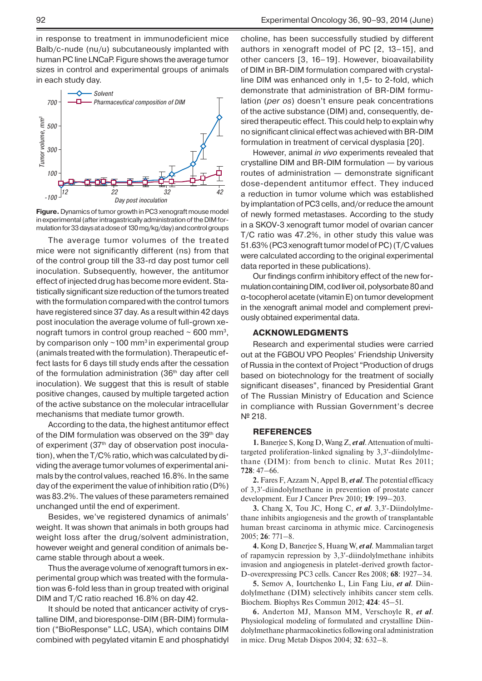in response to treatment in immunodeficient mice Balb/c-nude (nu/u) subcutaneously implanted with human PC line LNCaP. Figure shows the average tumor sizes in control and experimental groups of animals in each study day.



**Figure.** Dynamics of tumor growth in PC3 xenograft mouse model in experimental (after intragastrically administration of the DIM formulation for 33 days at a dose of 130 mg/kg/day) and control groups

The average tumor volumes of the treated mice were not significantly different (ns) from that of the control group till the 33-rd day post tumor cell inoculation. Subsequently, however, the antitumor effect of injected drug has become more evident. Statistically significant size reduction of the tumors treated with the formulation compared with the control tumors have registered since 37 day. As a result within 42 days post inoculation the average volume of full-grown xenograft tumors in control group reached  $\sim$  600 mm<sup>3</sup>. by comparison only  $\sim$  100 mm<sup>3</sup> in experimental group (animals treated with the formulation).Therapeutic effect lasts for 6 days till study ends after the cessation of the formulation administration (36<sup>th</sup> day after cell inoculation). We suggest that this is result of stable positive changes, caused by multiple targeted action of the active substance on the molecular intracellular mechanisms that mediate tumor growth.

According to the data, the highest antitumor effect of the DIM formulation was observed on the 39<sup>th</sup> day of experiment (37<sup>th</sup> day of observation post inoculation), when the T/C% ratio, which was calculated by dividing the average tumor volumes of experimental animals by the control values, reached 16.8%. In the same day of the experiment the value of inhibition ratio (D%) was 83.2%. The values of these parameters remained unchanged until the end of experiment.

Besides, we've registered dynamics of animals' weight. It was shown that animals in both groups had weight loss after the drug/solvent administration, however weight and general condition of animals became stable through about a week.

Thus the average volume of xenograft tumors in experimental group which was treated with the formulation was 6-fold less than in group treated with original DIM and T/C ratio reached 16.8% on day 42.

It should be noted that anticancer activity of crystalline DIM, and bioresponse-DIM (BR-DIM) formulation ("BioResponse" LLC, USA), which contains DIM combined with pegylated vitamin E and phosphatidyl choline, has been successfully studied by different authors in xenograft model of PC [2, 13–15], and other cancers [3, 16–19]. However, bioavailability of DIM in BR-DIM formulation compared with crystalline DIM was enhanced only in 1,5- to 2-fold, which demonstrate that administration of BR-DIM formulation (*per os*) doesn't ensure peak concentrations of the active substance (DIM) and, consequently, desired therapeutic effect. This could help to explain why no significant clinical effect was achieved with BR-DIM formulation in treatment of cervical dysplasia [20].

However, animal *in vivo* experiments revealed that crystalline DIM and BR-DIM formulation — by various routes of administration — demonstrate significant dose-dependent antitumor effect. They induced a reduction in tumor volume which was established by implantation of PC3 cells, and/or reduce the amount of newly formed metastases. According to the study in a SKOV-3 xenograft tumor model of ovarian cancer Т/C ratio was 47.2%, in other study this value was 51.63% (PC3 xenograft tumor model of PC) (Т/C values were calculated according to the original experimental data reported in these publications).

Our findings confirm inhibitory effect of the new formulation containing DIM, cod liver oil, polysorbate 80 and α-tocopherol acetate (vitamin E) ontumor development in the xenograft animal model and complement previously obtained experimental data.

## **ACKNOWLEDGMENTS**

Research and experimental studies were carried out at the FGBOU VPO Peoples' Friendship University of Russia in the context of Project "Production of drugs based on biotechnology for the treatment of socially significant diseases", financed by Presidential Grant of The Russian Ministry of Education and Science in compliance with Russian Government's decree № 218.

## **REFERENCES**

**1.** Banerjee S, Kong D, Wang Z, *et al*.Attenuation of multitargeted proliferation-linked signaling by 3,3--diindolylmethane (DIM): from bench to clinic. Mutat Res 2011; **728**: 47–66.

**2.** Fares F, Azzam N, Appel B, *et al*. The potential efficacy of 3,3--diindolylmethane in prevention of prostate cancer development. Eur J Cancer Prev 2010; **19**: 199–203.

**3.** Chang X, Tou JC, Hong C, et al. 3,3'-Diindolylmethane inhibits angiogenesis and the growth of transplantable human breast carcinoma in athymic mice. Carcinogenesis 2005; **26**: 771–8.

**4.** Kong D, Banerjee S, Huang W, *et al*. Mammalian target of rapamycin repression by 3,3--diindolylmethane inhibits invasion and angiogenesis in platelet-derived growth factor-D-overexpressing PC3 cells. Cancer Res 2008; **68**: 1927–34.

**5.** Semov A, Iourtchenko L, Lin Fang Liu, *et al*. Diindolylmethane (DIM) selectively inhibits cancer stem cells. Biochem. Biophys Res Commun 2012; **424**: 45–51.

**6.** Anderton MJ, Manson MM, Verschoyle R, *et al*. Physiological modeling of formulated and crystalline Diindolylmethane pharmacokinetics following oral administration in mice. Drug Metab Dispos 2004; **32**: 632–8.